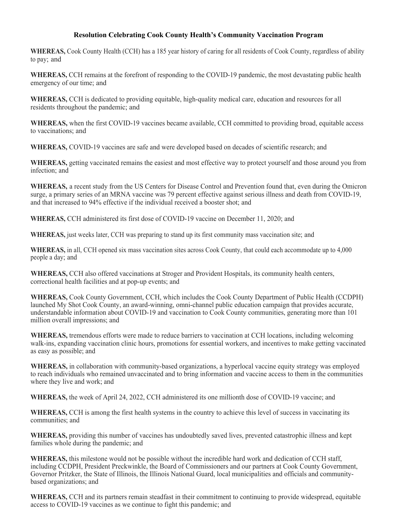## **Resolution Celebrating Cook County Health's Community Vaccination Program**

**WHEREAS,** Cook County Health (CCH) has a 185 year history of caring for all residents of Cook County, regardless of ability to pay; and

**WHEREAS,** CCH remains at the forefront of responding to the COVID-19 pandemic, the most devastating public health emergency of our time; and

**WHEREAS,** CCH is dedicated to providing equitable, high-quality medical care, education and resources for all residents throughout the pandemic; and

**WHEREAS,** when the first COVID-19 vaccines became available, CCH committed to providing broad, equitable access to vaccinations; and

**WHEREAS,** COVID-19 vaccines are safe and were developed based on decades of scientific research; and

**WHEREAS,** getting vaccinated remains the easiest and most effective way to protect yourself and those around you from infection; and

**WHEREAS,** a recent study from the US Centers for Disease Control and Prevention found that, even during the Omicron surge, a primary series of an MRNA vaccine was 79 percent effective against serious illness and death from COVID-19, and that increased to 94% effective if the individual received a booster shot; and

**WHEREAS,** CCH administered its first dose of COVID-19 vaccine on December 11, 2020; and

**WHEREAS,** just weeks later, CCH was preparing to stand up its first community mass vaccination site; and

**WHEREAS,** in all, CCH opened six mass vaccination sites across Cook County, that could each accommodate up to 4,000 people a day; and

**WHEREAS,** CCH also offered vaccinations at Stroger and Provident Hospitals, its community health centers, correctional health facilities and at pop-up events; and

**WHEREAS,** Cook County Government, CCH, which includes the Cook County Department of Public Health (CCDPH) launched My Shot Cook County, an award-winning, omni-channel public education campaign that provides accurate, understandable information about COVID-19 and vaccination to Cook County communities, generating more than 101 million overall impressions; and

**WHEREAS,** tremendous efforts were made to reduce barriers to vaccination at CCH locations, including welcoming walk-ins, expanding vaccination clinic hours, promotions for essential workers, and incentives to make getting vaccinated as easy as possible; and

**WHEREAS,** in collaboration with community-based organizations, a hyperlocal vaccine equity strategy was employed to reach individuals who remained unvaccinated and to bring information and vaccine access to them in the communities where they live and work; and

**WHEREAS,** the week of April 24, 2022, CCH administered its one millionth dose of COVID-19 vaccine; and

**WHEREAS,** CCH is among the first health systems in the country to achieve this level of success in vaccinating its communities; and

**WHEREAS,** providing this number of vaccines has undoubtedly saved lives, prevented catastrophic illness and kept families whole during the pandemic; and

**WHEREAS,** this milestone would not be possible without the incredible hard work and dedication of CCH staff, including CCDPH, President Preckwinkle, the Board of Commissioners and our partners at Cook County Government, Governor Pritzker, the State of Illinois, the Illinois National Guard, local municipalities and officials and communitybased organizations; and

**WHEREAS,** CCH and its partners remain steadfast in their commitment to continuing to provide widespread, equitable access to COVID-19 vaccines as we continue to fight this pandemic; and